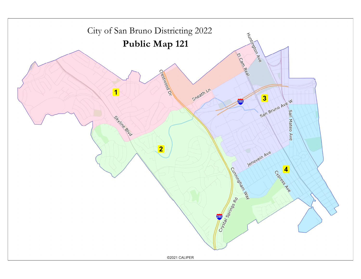